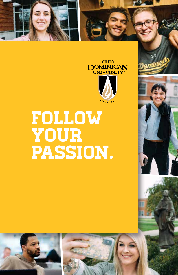



# Follow your passion.





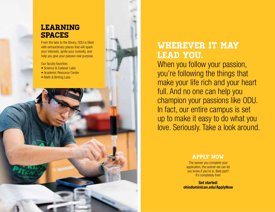#### **LEARNING SPACES**

From the labs to the library, ODU is filled with extraordinary places that will spark your interests, ignite your curiosity, and help you give your passion real purpose.

Our faculty favorites:

- Science & Cadaver Labs
- Academic Resource Center
- Math & Writing Labs

## Wherever it may lead you.

When you follow your passion, you're following the things that make your life rich and your heart full. And no one can help you champion your passions like ODU. In fact, our entire campus is set up to make it easy to do what you love. Seriously. Take a look around.

#### apply now

The sooner you complete your application, the sooner we can let you know if you're in. Best part? It's completely free!

**Get started: ohiodominican.edu/ApplyNow**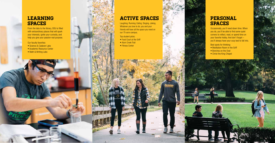#### **LEARNING SPACES**

From the labs to the library, ODU is filled with extraordinary places that will spark your interests, ignite your curiosity, and help you give your passion real purpose.

Our faculty favorites:

- Science & Cadaver Labs
- Academic Resource Center
- Math & Writing Labs

### **ACTIVE SPACES**

- Food Court at the Griff
- Alum Creek Trail
- Fitness Center

#### **PERSONAL SPACES**

Laughing. Running. Eating. Singing. Joking. Whatever you love to do, you and your friends will have all the space you need on our 75-acre campus.

Top student picks:

Occasionally, you'll need down time. When you do, you'll be able to find some quiet corners to reflect, read, or spend time on your favorite hobby. And don't forget – you'll always have your cozy bed to fall into.

Best spots for thinking:

- Meditation Room in the Griff
- Benches on the Oval
- Christ the King Chapel